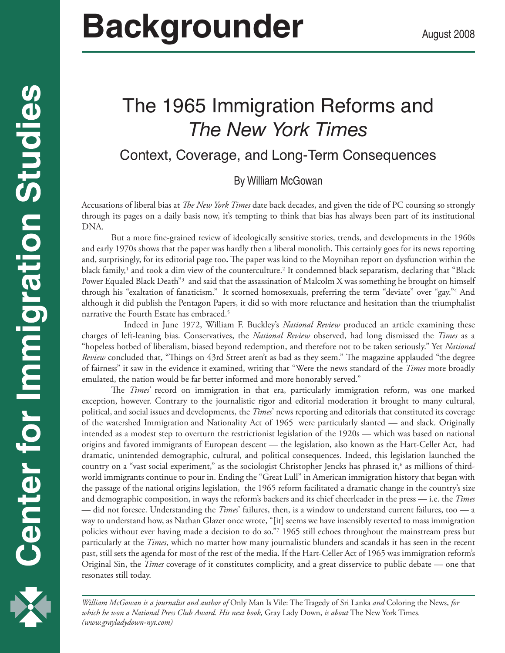# **Backgrounder** August 2008

# The 1965 Immigration Reforms and *The New York Times*

# Context, Coverage, and Long-Term Consequences

#### By William McGowan

Accusations of liberal bias at *The New York Times* date back decades, and given the tide of PC coursing so strongly through its pages on a daily basis now, it's tempting to think that bias has always been part of its institutional DNA.

But a more fine-grained review of ideologically sensitive stories, trends, and developments in the 1960s and early 1970s shows that the paper was hardly then a liberal monolith. This certainly goes for its news reporting and, surprisingly, for its editorial page too**.** The paper was kind to the Moynihan report on dysfunction within the black family,<sup>1</sup> and took a dim view of the counterculture.<sup>2</sup> It condemned black separatism, declaring that "Black Power Equaled Black Death"3 and said that the assassination of Malcolm X was something he brought on himself through his "exaltation of fanaticism." It scorned homosexuals, preferring the term "deviate" over "gay."4 And although it did publish the Pentagon Papers, it did so with more reluctance and hesitation than the triumphalist narrative the Fourth Estate has embraced.<sup>5</sup>

 Indeed in June 1972, William F. Buckley's *National Review* produced an article examining these charges of left-leaning bias. Conservatives, the *National Review* observed, had long dismissed the *Times* as a "hopeless hotbed of liberalism, biased beyond redemption, and therefore not to be taken seriously." Yet *National Review* concluded that, "Things on 43rd Street aren't as bad as they seem." The magazine applauded "the degree of fairness" it saw in the evidence it examined, writing that "Were the news standard of the *Times* more broadly emulated, the nation would be far better informed and more honorably served."

The *Times'* record on immigration in that era, particularly immigration reform, was one marked exception, however. Contrary to the journalistic rigor and editorial moderation it brought to many cultural, political, and social issues and developments, the *Times*' news reporting and editorials that constituted its coverage of the watershed Immigration and Nationality Act of 1965 were particularly slanted — and slack. Originally intended as a modest step to overturn the restrictionist legislation of the 1920s — which was based on national origins and favored immigrants of European descent — the legislation, also known as the Hart-Celler Act, had dramatic, unintended demographic, cultural, and political consequences. Indeed, this legislation launched the country on a "vast social experiment," as the sociologist Christopher Jencks has phrased it, $^6$  as millions of thirdworld immigrants continue to pour in. Ending the "Great Lull" in American immigration history that began with the passage of the national origins legislation, the 1965 reform facilitated a dramatic change in the country's size and demographic composition, in ways the reform's backers and its chief cheerleader in the press — i.e. the *Times* — did not foresee. Understanding the *Times*' failures, then, is a window to understand current failures, too — a way to understand how, as Nathan Glazer once wrote, "[it] seems we have insensibly reverted to mass immigration policies without ever having made a decision to do so."7 1965 still echoes throughout the mainstream press but particularly at the *Times*, which no matter how many journalistic blunders and scandals it has seen in the recent past, still sets the agenda for most of the rest of the media. If the Hart-Celler Act of 1965 was immigration reform's Original Sin, the *Times* coverage of it constitutes complicity, and a great disservice to public debate — one that resonates still today.

*William McGowan is a journalist and author of* Only Man Is Vile: The Tragedy of Sri Lanka *and* Coloring the News, *for which he won a National Press Club Award. His next book,* Gray Lady Down, *is about* The New York Times*. (www.grayladydown-nyt.com)*

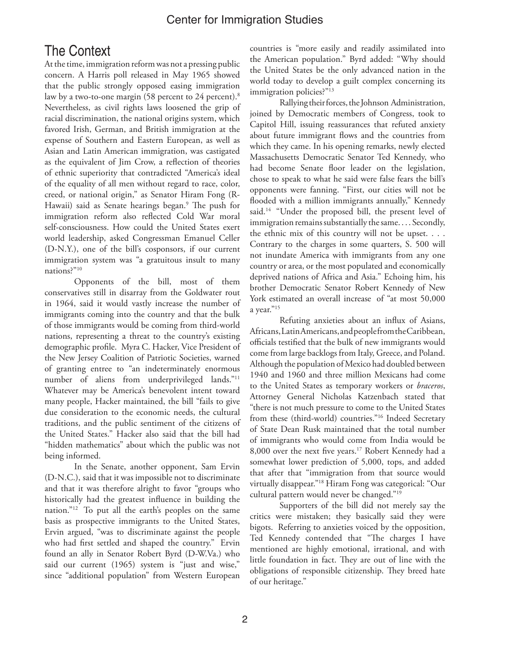#### Center for Immigration Studies

# The Context

At the time, immigration reform was not a pressing public concern. A Harris poll released in May 1965 showed that the public strongly opposed easing immigration law by a two-to-one margin (58 percent to 24 percent).<sup>8</sup> Nevertheless, as civil rights laws loosened the grip of racial discrimination, the national origins system, which favored Irish, German, and British immigration at the expense of Southern and Eastern European, as well as Asian and Latin American immigration, was castigated as the equivalent of Jim Crow, a reflection of theories of ethnic superiority that contradicted "America's ideal of the equality of all men without regard to race, color, creed, or national origin," as Senator Hiram Fong (R-Hawaii) said as Senate hearings began.<sup>9</sup> The push for immigration reform also reflected Cold War moral self-consciousness. How could the United States exert world leadership, asked Congressman Emanuel Celler (D-N.Y.), one of the bill's cosponsors, if our current immigration system was "a gratuitous insult to many nations?"10

Opponents of the bill, most of them conservatives still in disarray from the Goldwater rout in 1964, said it would vastly increase the number of immigrants coming into the country and that the bulk of those immigrants would be coming from third-world nations, representing a threat to the country's existing demographic profile. Myra C. Hacker, Vice President of the New Jersey Coalition of Patriotic Societies, warned of granting entree to "an indeterminately enormous number of aliens from underprivileged lands."11 Whatever may be America's benevolent intent toward many people, Hacker maintained, the bill "fails to give due consideration to the economic needs, the cultural traditions, and the public sentiment of the citizens of the United States." Hacker also said that the bill had "hidden mathematics" about which the public was not being informed.

In the Senate, another opponent, Sam Ervin (D-N.C.), said that it was impossible not to discriminate and that it was therefore alright to favor "groups who historically had the greatest influence in building the nation."12 To put all the earth's peoples on the same basis as prospective immigrants to the United States, Ervin argued, "was to discriminate against the people who had first settled and shaped the country." Ervin found an ally in Senator Robert Byrd (D-W.Va.) who said our current (1965) system is "just and wise," since "additional population" from Western European

countries is "more easily and readily assimilated into the American population." Byrd added: "Why should the United States be the only advanced nation in the world today to develop a guilt complex concerning its immigration policies?"<sup>13</sup>

Rallying their forces, the Johnson Administration, joined by Democratic members of Congress, took to Capitol Hill, issuing reassurances that refuted anxiety about future immigrant flows and the countries from which they came. In his opening remarks, newly elected Massachusetts Democratic Senator Ted Kennedy, who had become Senate floor leader on the legislation, chose to speak to what he said were false fears the bill's opponents were fanning. "First, our cities will not be flooded with a million immigrants annually," Kennedy said.<sup>14</sup> "Under the proposed bill, the present level of immigration remains substantially the same. . . . Secondly, the ethnic mix of this country will not be upset. . . . Contrary to the charges in some quarters, S. 500 will not inundate America with immigrants from any one country or area, or the most populated and economically deprived nations of Africa and Asia." Echoing him, his brother Democratic Senator Robert Kennedy of New York estimated an overall increase of "at most 50,000 a year."<sup>15</sup>

Refuting anxieties about an influx of Asians, Africans, Latin Americans, and people from the Caribbean, officials testified that the bulk of new immigrants would come from large backlogs from Italy, Greece, and Poland. Although the population of Mexico had doubled between 1940 and 1960 and three million Mexicans had come to the United States as temporary workers or *braceros*, Attorney General Nicholas Katzenbach stated that "there is not much pressure to come to the United States from these (third-world) countries."16 Indeed Secretary of State Dean Rusk maintained that the total number of immigrants who would come from India would be 8,000 over the next five years.17 Robert Kennedy had a somewhat lower prediction of 5,000, tops, and added that after that "immigration from that source would virtually disappear."18 Hiram Fong was categorical: "Our cultural pattern would never be changed."19

Supporters of the bill did not merely say the critics were mistaken; they basically said they were bigots. Referring to anxieties voiced by the opposition, Ted Kennedy contended that "The charges I have mentioned are highly emotional, irrational, and with little foundation in fact. They are out of line with the obligations of responsible citizenship. They breed hate of our heritage."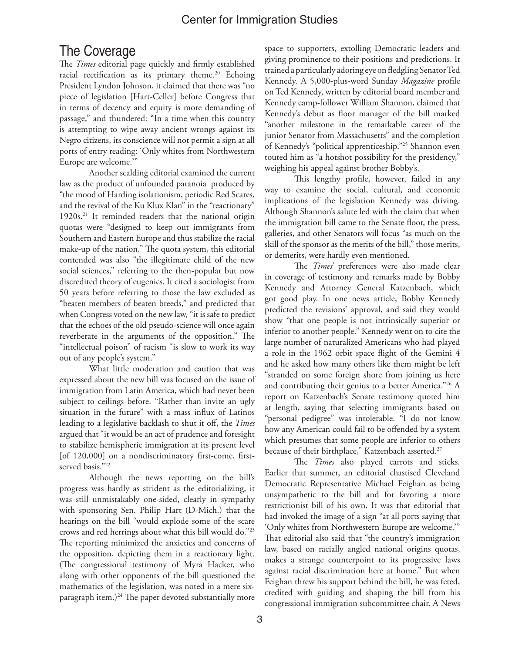#### Center for Immigration Studies

## The Coverage

The *Times* editorial page quickly and firmly established racial rectification as its primary theme.<sup>20</sup> Echoing President Lyndon Johnson, it claimed that there was "no piece of legislation [Hart-Celler] before Congress that in terms of decency and equity is more demanding of passage," and thundered: "In a time when this country is attempting to wipe away ancient wrongs against its Negro citizens, its conscience will not permit a sign at all ports of entry reading: 'Only whites from Northwestern Europe are welcome.'"

Another scalding editorial examined the current law as the product of unfounded paranoia produced by "the mood of Harding isolationism, periodic Red Scares, and the revival of the Ku Klux Klan" in the "reactionary" 1920s.<sup>21</sup> It reminded readers that the national origin quotas were "designed to keep out immigrants from Southern and Eastern Europe and thus stabilize the racial make-up of the nation." The quota system, this editorial contended was also "the illegitimate child of the new social sciences," referring to the then-popular but now discredited theory of eugenics. It cited a sociologist from 50 years before referring to those the law excluded as "beaten members of beaten breeds," and predicted that when Congress voted on the new law, "it is safe to predict that the echoes of the old pseudo-science will once again reverberate in the arguments of the opposition." The "intellectual poison" of racism "is slow to work its way out of any people's system."

What little moderation and caution that was expressed about the new bill was focused on the issue of immigration from Latin America, which had never been subject to ceilings before. "Rather than invite an ugly situation in the future" with a mass influx of Latinos leading to a legislative backlash to shut it off, the *Times* argued that "it would be an act of prudence and foresight to stabilize hemispheric immigration at its present level [of 120,000] on a nondiscriminatory first-come, firstserved basis."<sup>22</sup>

Although the news reporting on the bill's progress was hardly as strident as the editorializing, it was still unmistakably one-sided, clearly in sympathy with sponsoring Sen. Philip Hart (D-Mich.) that the hearings on the bill "would explode some of the scare crows and red herrings about what this bill would do."23 The reporting minimized the anxieties and concerns of the opposition, depicting them in a reactionary light. (The congressional testimony of Myra Hacker, who along with other opponents of the bill questioned the mathematics of the legislation, was noted in a mere sixparagraph item.) $^{24}$  The paper devoted substantially more space to supporters, extolling Democratic leaders and giving prominence to their positions and predictions. It trained a particularly adoring eye on fledgling Senator Ted Kennedy. A 5,000-plus-word Sunday *Magazine* profile on Ted Kennedy, written by editorial board member and Kennedy camp-follower William Shannon, claimed that Kennedy's debut as floor manager of the bill marked "another milestone in the remarkable career of the junior Senator from Massachusetts" and the completion of Kennedy's "political apprenticeship."25 Shannon even touted him as "a hotshot possibility for the presidency," weighing his appeal against brother Bobby's.

This lengthy profile, however, failed in any way to examine the social, cultural, and economic implications of the legislation Kennedy was driving. Although Shannon's salute led with the claim that when the immigration bill came to the Senate floor, the press, galleries, and other Senators will focus "as much on the skill of the sponsor as the merits of the bill," those merits, or demerits, were hardly even mentioned.

The *Times'* preferences were also made clear in coverage of testimony and remarks made by Bobby Kennedy and Attorney General Katzenbach, which got good play. In one news article, Bobby Kennedy predicted the revisions' approval, and said they would show "that one people is not intrinsically superior or inferior to another people." Kennedy went on to cite the large number of naturalized Americans who had played a role in the 1962 orbit space flight of the Gemini 4 and he asked how many others like them might be left "stranded on some foreign shore from joining us here and contributing their genius to a better America."26 A report on Katzenbach's Senate testimony quoted him at length, saying that selecting immigrants based on "personal pedigree" was intolerable. "I do not know how any American could fail to be offended by a system which presumes that some people are inferior to others because of their birthplace," Katzenbach asserted.<sup>27</sup>

The *Times* also played carrots and sticks. Earlier that summer, an editorial chastised Cleveland Democratic Representative Michael Feighan as being unsympathetic to the bill and for favoring a more restrictionist bill of his own. It was that editorial that had invoked the image of a sign "at all ports saying that 'Only whites from Northwestern Europe are welcome.'" That editorial also said that "the country's immigration law, based on racially angled national origins quotas, makes a strange counterpoint to its progressive laws against racial discrimination here at home." But when Feighan threw his support behind the bill, he was feted, credited with guiding and shaping the bill from his congressional immigration subcommittee chair. A News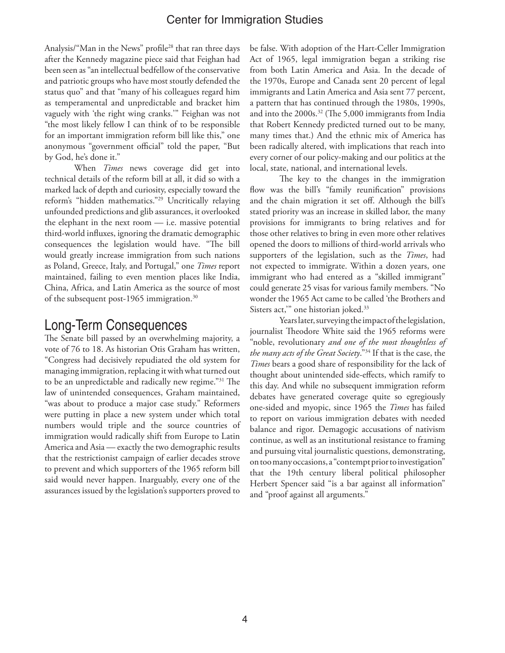#### Center for Immigration Studies

Analysis/"Man in the News" profile<sup>28</sup> that ran three days after the Kennedy magazine piece said that Feighan had been seen as "an intellectual bedfellow of the conservative and patriotic groups who have most stoutly defended the status quo" and that "many of his colleagues regard him as temperamental and unpredictable and bracket him vaguely with 'the right wing cranks.'" Feighan was not "the most likely fellow I can think of to be responsible for an important immigration reform bill like this," one anonymous "government official" told the paper, "But by God, he's done it."

When *Times* news coverage did get into technical details of the reform bill at all, it did so with a marked lack of depth and curiosity, especially toward the reform's "hidden mathematics."29 Uncritically relaying unfounded predictions and glib assurances, it overlooked the elephant in the next room — i.e. massive potential third-world influxes, ignoring the dramatic demographic consequences the legislation would have. "The bill would greatly increase immigration from such nations as Poland, Greece, Italy, and Portugal," one *Times* report maintained, failing to even mention places like India, China, Africa, and Latin America as the source of most of the subsequent post-1965 immigration.30

### Long-Term Consequences

The Senate bill passed by an overwhelming majority, a vote of 76 to 18. As historian Otis Graham has written, "Congress had decisively repudiated the old system for managing immigration, replacing it with what turned out to be an unpredictable and radically new regime."31 The law of unintended consequences, Graham maintained, "was about to produce a major case study." Reformers were putting in place a new system under which total numbers would triple and the source countries of immigration would radically shift from Europe to Latin America and Asia — exactly the two demographic results that the restrictionist campaign of earlier decades strove to prevent and which supporters of the 1965 reform bill said would never happen. Inarguably, every one of the assurances issued by the legislation's supporters proved to

be false. With adoption of the Hart-Celler Immigration Act of 1965, legal immigration began a striking rise from both Latin America and Asia. In the decade of the 1970s, Europe and Canada sent 20 percent of legal immigrants and Latin America and Asia sent 77 percent, a pattern that has continued through the 1980s, 1990s, and into the 2000s.32 (The 5,000 immigrants from India that Robert Kennedy predicted turned out to be many, many times that.) And the ethnic mix of America has been radically altered, with implications that reach into every corner of our policy-making and our politics at the local, state, national, and international levels.

The key to the changes in the immigration flow was the bill's "family reunification" provisions and the chain migration it set off. Although the bill's stated priority was an increase in skilled labor, the many provisions for immigrants to bring relatives and for those other relatives to bring in even more other relatives opened the doors to millions of third-world arrivals who supporters of the legislation, such as the *Times*, had not expected to immigrate. Within a dozen years, one immigrant who had entered as a "skilled immigrant" could generate 25 visas for various family members. "No wonder the 1965 Act came to be called 'the Brothers and Sisters act," one historian joked.<sup>33</sup>

Years later, surveying the impact of the legislation, journalist Theodore White said the 1965 reforms were "noble, revolutionary *and one of the most thoughtless of the many acts of the Great Society*."34 If that is the case, the *Times* bears a good share of responsibility for the lack of thought about unintended side-effects, which ramify to this day. And while no subsequent immigration reform debates have generated coverage quite so egregiously one-sided and myopic, since 1965 the *Times* has failed to report on various immigration debates with needed balance and rigor. Demagogic accusations of nativism continue, as well as an institutional resistance to framing and pursuing vital journalistic questions, demonstrating, on too many occasions, a "contempt prior to investigation" that the 19th century liberal political philosopher Herbert Spencer said "is a bar against all information" and "proof against all arguments."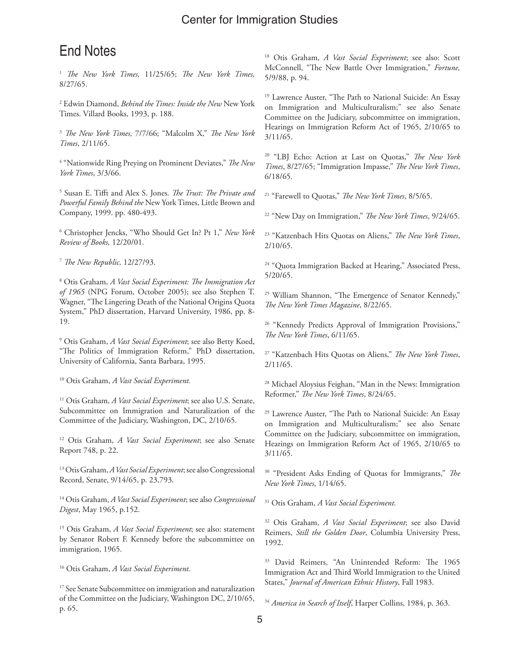# End Notes

<sup>1</sup> *The New York Times,* 11/25/65; *The New York Times,* 8/27/65.

2 Edwin Diamond, *Behind the Times: Inside the New* New York Times. Villard Books, 1993, p. 188.

<sup>3</sup> *The New York Times,* 7/7/66; "Malcolm X," *The New York Times*, 2/11/65.

4 "Nationwide Ring Preying on Prominent Deviates," *The New York Times*, 3/3/66.

5 Susan E. Tifft and Alex S. Jones. *The Trust: The Private and Powerful Family Behind the* New York Times, Little Brown and Company, 1999. pp. 480-493.

6 Christopher Jencks, "Who Should Get In? Pt 1," *New York Review of Books,* 12/20/01.

<sup>7</sup> *The New Republic,* 12/27/93.

8 Otis Graham, *A Vast Social Experiment: The Immigration Act of 1965* (NPG Forum, October 2005); see also Stephen T. Wagner, "The Lingering Death of the National Origins Quota System," PhD dissertation, Harvard University, 1986, pp. 8- 19.

9 Otis Graham, *A Vast Social Experiment*; see also Betty Koed, "The Politics of Immigration Reform," PhD dissertation, University of California, Santa Barbara, 1995.

10 Otis Graham, *A Vast Social Experiment.*

11 Otis Graham, *A Vast Social Experiment*; see also U.S. Senate, Subcommittee on Immigration and Naturalization of the Committee of the Judiciary, Washington, DC, 2/10/65.

12 Otis Graham, *A Vast Social Experiment*; see also Senate Report 748, p. 22.

13 Otis Graham, *A Vast Social Experiment*; see also Congressional Record, Senate, 9/14/65, p. 23,793.

14 Otis Graham, *A Vast Social Experiment*; see also *Congressional Digest*, May 1965, p.152.

15 Otis Graham, *A Vast Social Experiment*; see also: statement by Senator Robert F. Kennedy before the subcommittee on immigration, 1965.

16 Otis Graham, *A Vast Social Experiment*.

<sup>17</sup> See Senate Subcommittee on immigration and naturalization of the Committee on the Judiciary, Washington DC, 2/10/65, p. 65.

18 Otis Graham, *A Vast Social Experiment*; see also: Scott McConnell, "The New Battle Over Immigration," *Fortune,* 5/9/88, p. 94.

<sup>19</sup> Lawrence Auster, "The Path to National Suicide: An Essay on Immigration and Multiculturalism;" see also Senate Committee on the Judiciary, subcommittee on immigration, Hearings on Immigration Reform Act of 1965, 2/10/65 to 3/11/65.

20 "LBJ Echo: Action at Last on Quotas," *The New York Times*, 8/27/65; "Immigration Impasse," *The New York Times*, 6/18/65.

21 "Farewell to Quotas," *The New York Times*, 8/5/65.

22 "New Day on Immigration," *The New York Times*, 9/24/65.

23 "Katzenbach Hits Quotas on Aliens," *The New York Times*, 2/10/65.

<sup>24</sup> "Quota Immigration Backed at Hearing," Associated Press, 5/20/65.

<sup>25</sup> William Shannon, "The Emergence of Senator Kennedy," *The New York Times Magazine*, 8/22/65.

<sup>26</sup> "Kennedy Predicts Approval of Immigration Provisions," *The New York Times*, 6/11/65.

27 "Katzenbach Hits Quotas on Aliens," *The New York Times*, 2/11/65.

28 Michael Aloysius Feighan, "Man in the News: Immigration Reformer," *The New York Times*, 8/24/65.

<sup>29</sup> Lawrence Auster, "The Path to National Suicide: An Essay on Immigration and Multiculturalism;" see also Senate Committee on the Judiciary, subcommittee on immigration, Hearings on Immigration Reform Act of 1965, 2/10/65 to 3/11/65.

30 "President Asks Ending of Quotas for Immigrants," *The New York Times*, 1/14/65.

31 Otis Graham, *A Vast Social Experiment*.

32 Otis Graham, *A Vast Social Experiment*; see also David Reimers, *Still the Golden Door*, Columbia University Press, 1992.

33 David Reimers, "An Unintended Reform: The 1965 Immigration Act and Third World Immigration to the United States," *Journal of American Ethnic History*, Fall 1983.

<sup>34</sup> *America in Search of Itself*, Harper Collins, 1984, p. 363.